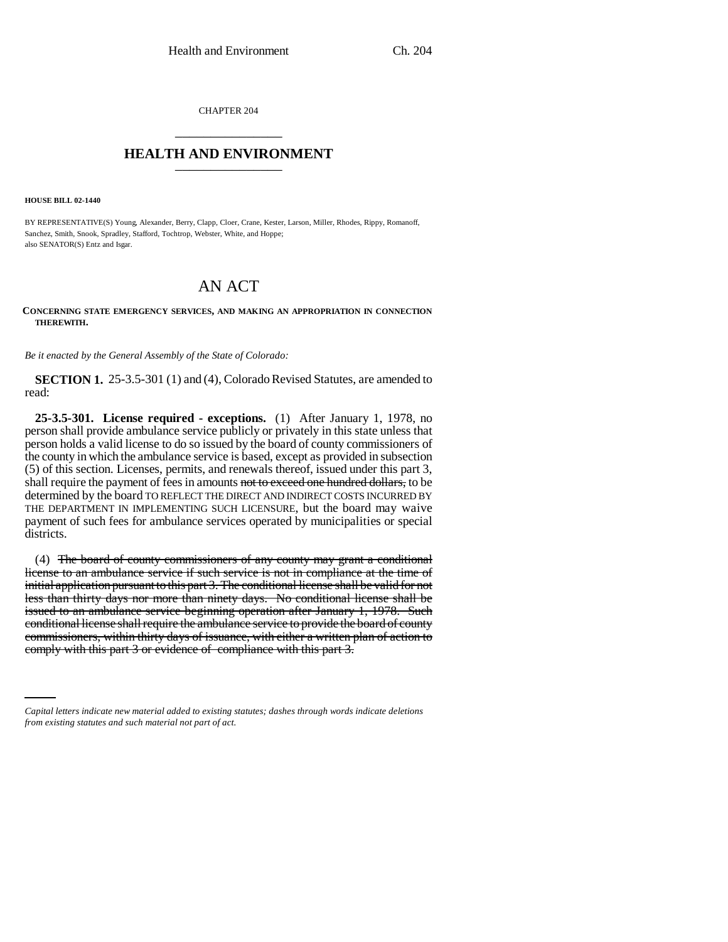CHAPTER 204 \_\_\_\_\_\_\_\_\_\_\_\_\_\_\_

## **HEALTH AND ENVIRONMENT** \_\_\_\_\_\_\_\_\_\_\_\_\_\_\_

**HOUSE BILL 02-1440**

BY REPRESENTATIVE(S) Young, Alexander, Berry, Clapp, Cloer, Crane, Kester, Larson, Miller, Rhodes, Rippy, Romanoff, Sanchez, Smith, Snook, Spradley, Stafford, Tochtrop, Webster, White, and Hoppe; also SENATOR(S) Entz and Isgar.

# AN ACT

#### **CONCERNING STATE EMERGENCY SERVICES, AND MAKING AN APPROPRIATION IN CONNECTION THEREWITH.**

*Be it enacted by the General Assembly of the State of Colorado:*

**SECTION 1.** 25-3.5-301 (1) and (4), Colorado Revised Statutes, are amended to read:

**25-3.5-301. License required - exceptions.** (1) After January 1, 1978, no person shall provide ambulance service publicly or privately in this state unless that person holds a valid license to do so issued by the board of county commissioners of the county in which the ambulance service is based, except as provided in subsection (5) of this section. Licenses, permits, and renewals thereof, issued under this part 3, shall require the payment of fees in amounts not to exceed one hundred dollars, to be determined by the board TO REFLECT THE DIRECT AND INDIRECT COSTS INCURRED BY THE DEPARTMENT IN IMPLEMENTING SUCH LICENSURE, but the board may waive payment of such fees for ambulance services operated by municipalities or special districts.

commissioners, within thirty days of issuance, with either a written plan of action to (4) The board of county commissioners of any county may grant a conditional license to an ambulance service if such service is not in compliance at the time of initial application pursuant to this part 3. The conditional license shall be valid for not less than thirty days nor more than ninety days. No conditional license shall be issued to an ambulance service beginning operation after January 1, 1978. Such conditional license shall require the ambulance service to provide the board of county comply with this part 3 or evidence of compliance with this part 3.

*Capital letters indicate new material added to existing statutes; dashes through words indicate deletions from existing statutes and such material not part of act.*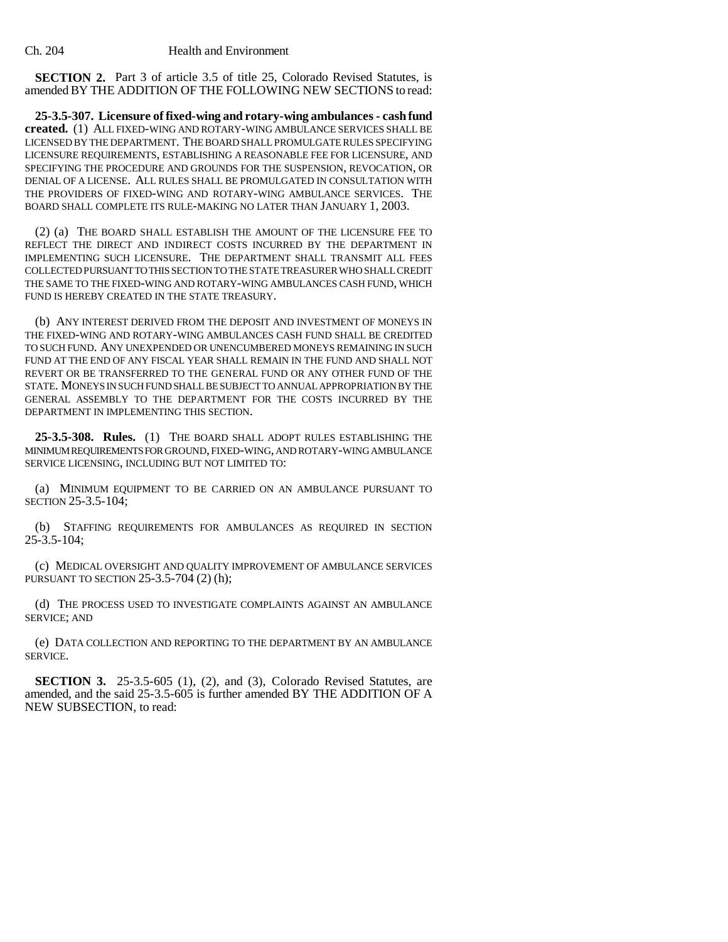**SECTION 2.** Part 3 of article 3.5 of title 25, Colorado Revised Statutes, is amended BY THE ADDITION OF THE FOLLOWING NEW SECTIONS to read:

**25-3.5-307. Licensure of fixed-wing and rotary-wing ambulances - cash fund created.** (1) ALL FIXED-WING AND ROTARY-WING AMBULANCE SERVICES SHALL BE LICENSED BY THE DEPARTMENT. THE BOARD SHALL PROMULGATE RULES SPECIFYING LICENSURE REQUIREMENTS, ESTABLISHING A REASONABLE FEE FOR LICENSURE, AND SPECIFYING THE PROCEDURE AND GROUNDS FOR THE SUSPENSION, REVOCATION, OR DENIAL OF A LICENSE. ALL RULES SHALL BE PROMULGATED IN CONSULTATION WITH THE PROVIDERS OF FIXED-WING AND ROTARY-WING AMBULANCE SERVICES. THE BOARD SHALL COMPLETE ITS RULE-MAKING NO LATER THAN JANUARY 1, 2003.

(2) (a) THE BOARD SHALL ESTABLISH THE AMOUNT OF THE LICENSURE FEE TO REFLECT THE DIRECT AND INDIRECT COSTS INCURRED BY THE DEPARTMENT IN IMPLEMENTING SUCH LICENSURE. THE DEPARTMENT SHALL TRANSMIT ALL FEES COLLECTED PURSUANT TO THIS SECTION TO THE STATE TREASURER WHO SHALL CREDIT THE SAME TO THE FIXED-WING AND ROTARY-WING AMBULANCES CASH FUND, WHICH FUND IS HEREBY CREATED IN THE STATE TREASURY.

(b) ANY INTEREST DERIVED FROM THE DEPOSIT AND INVESTMENT OF MONEYS IN THE FIXED-WING AND ROTARY-WING AMBULANCES CASH FUND SHALL BE CREDITED TO SUCH FUND. ANY UNEXPENDED OR UNENCUMBERED MONEYS REMAINING IN SUCH FUND AT THE END OF ANY FISCAL YEAR SHALL REMAIN IN THE FUND AND SHALL NOT REVERT OR BE TRANSFERRED TO THE GENERAL FUND OR ANY OTHER FUND OF THE STATE. MONEYS IN SUCH FUND SHALL BE SUBJECT TO ANNUAL APPROPRIATION BY THE GENERAL ASSEMBLY TO THE DEPARTMENT FOR THE COSTS INCURRED BY THE DEPARTMENT IN IMPLEMENTING THIS SECTION.

**25-3.5-308. Rules.** (1) THE BOARD SHALL ADOPT RULES ESTABLISHING THE MINIMUM REQUIREMENTS FOR GROUND, FIXED-WING, AND ROTARY-WING AMBULANCE SERVICE LICENSING, INCLUDING BUT NOT LIMITED TO:

(a) MINIMUM EQUIPMENT TO BE CARRIED ON AN AMBULANCE PURSUANT TO SECTION 25-3.5-104;

(b) STAFFING REQUIREMENTS FOR AMBULANCES AS REQUIRED IN SECTION 25-3.5-104;

(c) MEDICAL OVERSIGHT AND QUALITY IMPROVEMENT OF AMBULANCE SERVICES PURSUANT TO SECTION 25-3.5-704 (2) (h);

(d) THE PROCESS USED TO INVESTIGATE COMPLAINTS AGAINST AN AMBULANCE SERVICE; AND

(e) DATA COLLECTION AND REPORTING TO THE DEPARTMENT BY AN AMBULANCE SERVICE.

**SECTION 3.** 25-3.5-605 (1), (2), and (3), Colorado Revised Statutes, are amended, and the said 25-3.5-605 is further amended BY THE ADDITION OF A NEW SUBSECTION, to read: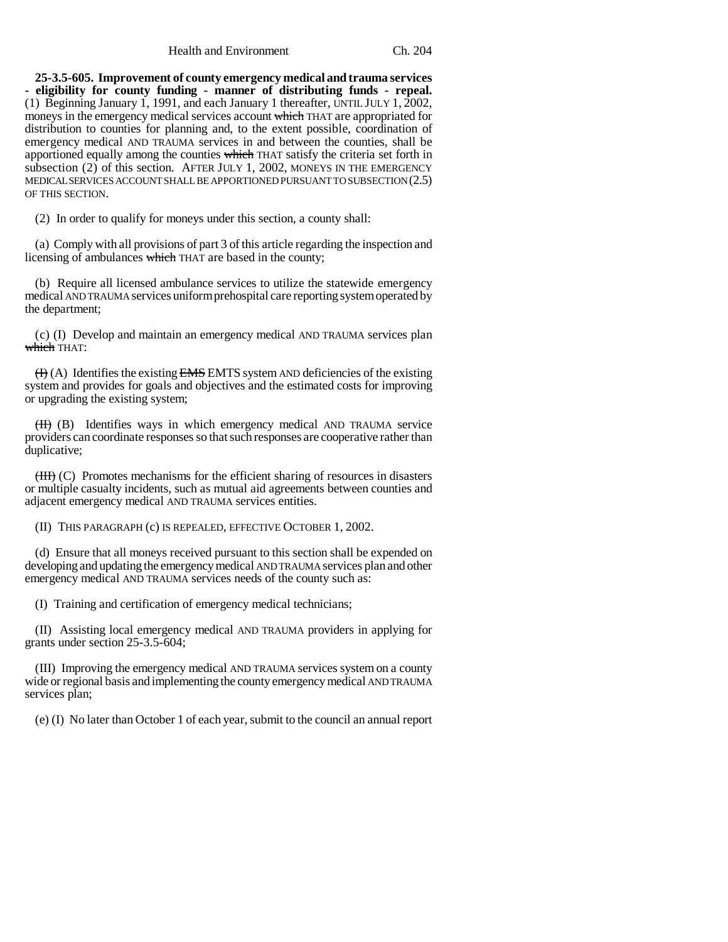Health and Environment Ch. 204

**25-3.5-605. Improvement of county emergency medical and trauma services - eligibility for county funding - manner of distributing funds - repeal.** (1) Beginning January 1, 1991, and each January 1 thereafter, UNTIL JULY 1, 2002, moneys in the emergency medical services account which THAT are appropriated for distribution to counties for planning and, to the extent possible, coordination of emergency medical AND TRAUMA services in and between the counties, shall be apportioned equally among the counties which THAT satisfy the criteria set forth in subsection (2) of this section. AFTER JULY 1, 2002, MONEYS IN THE EMERGENCY MEDICAL SERVICES ACCOUNT SHALL BE APPORTIONED PURSUANT TO SUBSECTION (2.5) OF THIS SECTION.

(2) In order to qualify for moneys under this section, a county shall:

(a) Comply with all provisions of part 3 of this article regarding the inspection and licensing of ambulances which THAT are based in the county;

(b) Require all licensed ambulance services to utilize the statewide emergency medical AND TRAUMA services uniform prehospital care reporting system operated by the department;

(c) (I) Develop and maintain an emergency medical AND TRAUMA services plan which THAT:

 $(H)$  (A) Identifies the existing EMS EMTS system AND deficiencies of the existing system and provides for goals and objectives and the estimated costs for improving or upgrading the existing system;

(II) (B) Identifies ways in which emergency medical AND TRAUMA service providers can coordinate responses so that such responses are cooperative rather than duplicative;

(III) (C) Promotes mechanisms for the efficient sharing of resources in disasters or multiple casualty incidents, such as mutual aid agreements between counties and adjacent emergency medical AND TRAUMA services entities.

(II) THIS PARAGRAPH (c) IS REPEALED, EFFECTIVE OCTOBER 1, 2002.

(d) Ensure that all moneys received pursuant to this section shall be expended on developing and updating the emergency medical AND TRAUMA services plan and other emergency medical AND TRAUMA services needs of the county such as:

(I) Training and certification of emergency medical technicians;

(II) Assisting local emergency medical AND TRAUMA providers in applying for grants under section 25-3.5-604;

(III) Improving the emergency medical AND TRAUMA services system on a county wide or regional basis and implementing the county emergency medical AND TRAUMA services plan;

(e) (I) No later than October 1 of each year, submit to the council an annual report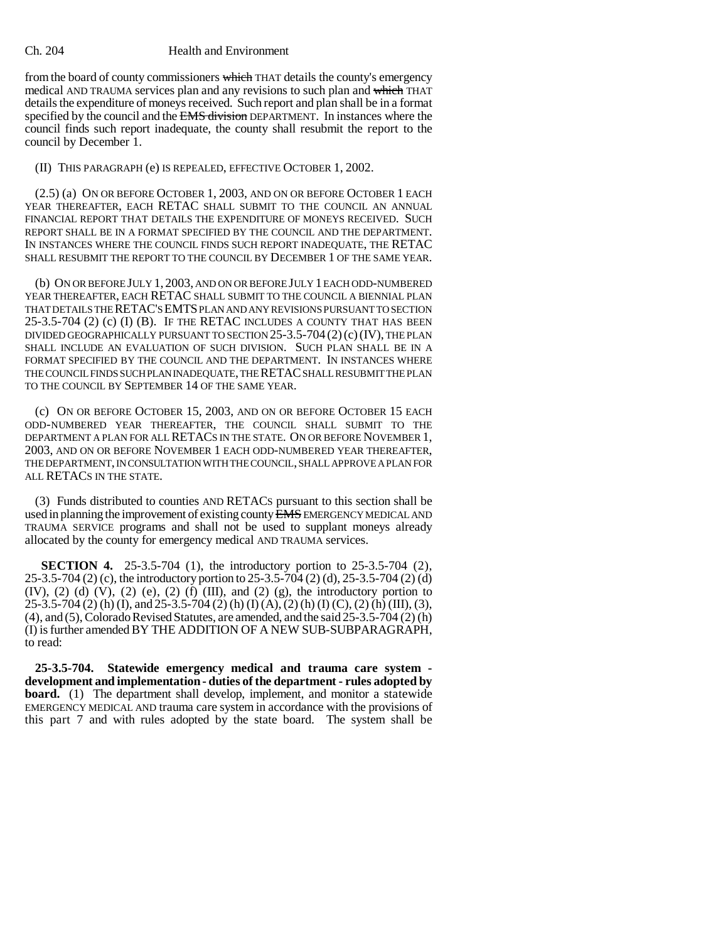#### Ch. 204 Health and Environment

from the board of county commissioners which THAT details the county's emergency medical AND TRAUMA services plan and any revisions to such plan and which THAT details the expenditure of moneys received. Such report and plan shall be in a format specified by the council and the EMS division DEPARTMENT. In instances where the council finds such report inadequate, the county shall resubmit the report to the council by December 1.

(II) THIS PARAGRAPH (e) IS REPEALED, EFFECTIVE OCTOBER 1, 2002.

(2.5) (a) ON OR BEFORE OCTOBER 1, 2003, AND ON OR BEFORE OCTOBER 1 EACH YEAR THEREAFTER, EACH RETAC SHALL SUBMIT TO THE COUNCIL AN ANNUAL FINANCIAL REPORT THAT DETAILS THE EXPENDITURE OF MONEYS RECEIVED. SUCH REPORT SHALL BE IN A FORMAT SPECIFIED BY THE COUNCIL AND THE DEPARTMENT. IN INSTANCES WHERE THE COUNCIL FINDS SUCH REPORT INADEQUATE, THE RETAC SHALL RESUBMIT THE REPORT TO THE COUNCIL BY DECEMBER 1 OF THE SAME YEAR.

(b) ON OR BEFORE JULY 1, 2003, AND ON OR BEFORE JULY 1 EACH ODD-NUMBERED YEAR THEREAFTER, EACH RETAC SHALL SUBMIT TO THE COUNCIL A BIENNIAL PLAN THAT DETAILS THE RETAC'S EMTS PLAN AND ANY REVISIONS PURSUANT TO SECTION  $25-3.5-704$  (2) (c) (I) (B). IF THE RETAC INCLUDES A COUNTY THAT HAS BEEN DIVIDED GEOGRAPHICALLY PURSUANT TO SECTION 25-3.5-704 (2)(c)(IV), THE PLAN SHALL INCLUDE AN EVALUATION OF SUCH DIVISION. SUCH PLAN SHALL BE IN A FORMAT SPECIFIED BY THE COUNCIL AND THE DEPARTMENT. IN INSTANCES WHERE THE COUNCIL FINDS SUCH PLAN INADEQUATE, THE RETAC SHALL RESUBMIT THE PLAN TO THE COUNCIL BY SEPTEMBER 14 OF THE SAME YEAR.

(c) ON OR BEFORE OCTOBER 15, 2003, AND ON OR BEFORE OCTOBER 15 EACH ODD-NUMBERED YEAR THEREAFTER, THE COUNCIL SHALL SUBMIT TO THE DEPARTMENT A PLAN FOR ALL RETACS IN THE STATE. ON OR BEFORE NOVEMBER 1, 2003, AND ON OR BEFORE NOVEMBER 1 EACH ODD-NUMBERED YEAR THEREAFTER, THE DEPARTMENT, IN CONSULTATION WITH THE COUNCIL, SHALL APPROVE A PLAN FOR ALL RETACS IN THE STATE.

(3) Funds distributed to counties AND RETACS pursuant to this section shall be used in planning the improvement of existing county EMS EMERGENCY MEDICAL AND TRAUMA SERVICE programs and shall not be used to supplant moneys already allocated by the county for emergency medical AND TRAUMA services.

**SECTION 4.** 25-3.5-704 (1), the introductory portion to 25-3.5-704 (2), 25-3.5-704 (2) (c), the introductory portion to 25-3.5-704 (2) (d), 25-3.5-704 (2) (d)  $(IV)$ ,  $(2)$   $(d)$   $(V)$ ,  $(2)$   $(e)$ ,  $(2)$   $(f)$   $(III)$ , and  $(2)$   $(g)$ , the introductory portion to 25-3.5-704 (2) (h) (I), and 25-3.5-704 (2) (h) (I) (A), (2) (h) (I) (C), (2) (h) (III), (3), (4), and (5), Colorado Revised Statutes, are amended, and the said 25-3.5-704 (2) (h) (I) is further amended BY THE ADDITION OF A NEW SUB-SUBPARAGRAPH, to read:

**25-3.5-704. Statewide emergency medical and trauma care system development and implementation - duties of the department - rules adopted by board.** (1) The department shall develop, implement, and monitor a statewide EMERGENCY MEDICAL AND trauma care system in accordance with the provisions of this part 7 and with rules adopted by the state board. The system shall be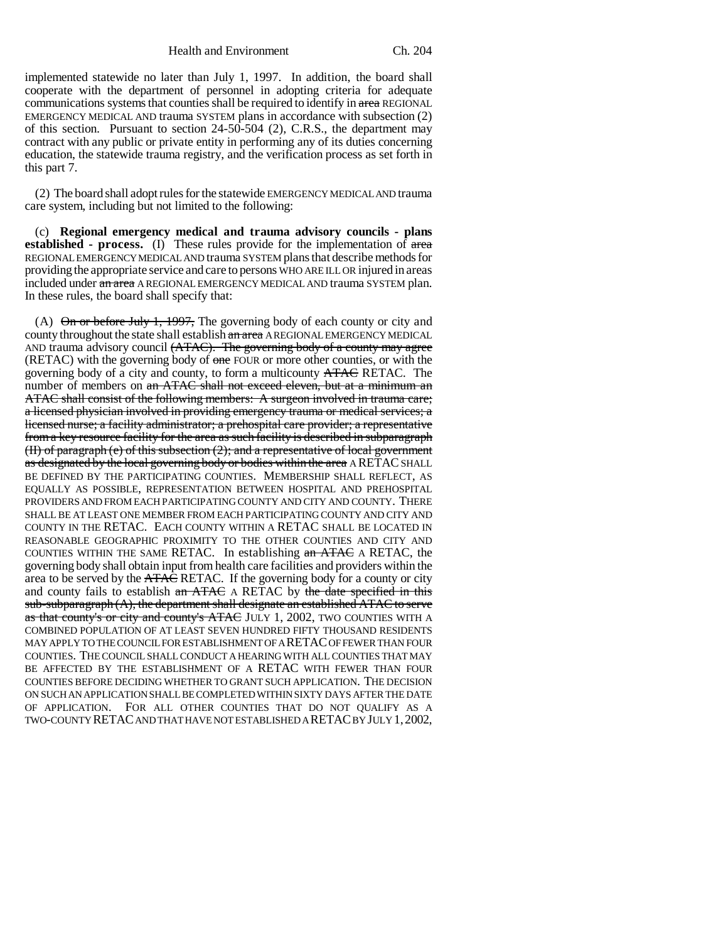Health and Environment Ch. 204

implemented statewide no later than July 1, 1997. In addition, the board shall cooperate with the department of personnel in adopting criteria for adequate communications systems that counties shall be required to identify in area REGIONAL EMERGENCY MEDICAL AND trauma SYSTEM plans in accordance with subsection (2) of this section. Pursuant to section 24-50-504 (2), C.R.S., the department may contract with any public or private entity in performing any of its duties concerning education, the statewide trauma registry, and the verification process as set forth in this part 7.

(2) The board shall adopt rules for the statewide EMERGENCY MEDICAL AND trauma care system, including but not limited to the following:

(c) **Regional emergency medical and trauma advisory councils - plans established - process.** (I) These rules provide for the implementation of area REGIONAL EMERGENCY MEDICAL AND trauma SYSTEM plans that describe methods for providing the appropriate service and care to persons WHO ARE ILL OR injured in areas included under an area A REGIONAL EMERGENCY MEDICAL AND trauma SYSTEM plan. In these rules, the board shall specify that:

(A)  $\Theta$  in or before July 1, 1997, The governing body of each county or city and county throughout the state shall establish an area A REGIONAL EMERGENCY MEDICAL AND trauma advisory council (ATAC). The governing body of a county may agree (RETAC) with the governing body of one FOUR or more other counties, or with the governing body of a city and county, to form a multicounty **ATAC** RETAC. The number of members on an ATAC shall not exceed eleven, but at a minimum an ATAC shall consist of the following members: A surgeon involved in trauma care; a licensed physician involved in providing emergency trauma or medical services; a licensed nurse; a facility administrator; a prehospital care provider; a representative from a key resource facility for the area as such facility is described in subparagraph (II) of paragraph (e) of this subsection (2); and a representative of local government as designated by the local governing body or bodies within the area A RETAC SHALL BE DEFINED BY THE PARTICIPATING COUNTIES. MEMBERSHIP SHALL REFLECT, AS EQUALLY AS POSSIBLE, REPRESENTATION BETWEEN HOSPITAL AND PREHOSPITAL PROVIDERS AND FROM EACH PARTICIPATING COUNTY AND CITY AND COUNTY. THERE SHALL BE AT LEAST ONE MEMBER FROM EACH PARTICIPATING COUNTY AND CITY AND COUNTY IN THE RETAC. EACH COUNTY WITHIN A RETAC SHALL BE LOCATED IN REASONABLE GEOGRAPHIC PROXIMITY TO THE OTHER COUNTIES AND CITY AND COUNTIES WITHIN THE SAME RETAC. In establishing an ATAC A RETAC, the governing body shall obtain input from health care facilities and providers within the area to be served by the ATAC RETAC. If the governing body for a county or city and county fails to establish an ATAC A RETAC by the date specified in this sub-subparagraph (A), the department shall designate an established ATAC to serve as that county's or city and county's ATAC JULY 1, 2002, TWO COUNTIES WITH A COMBINED POPULATION OF AT LEAST SEVEN HUNDRED FIFTY THOUSAND RESIDENTS MAY APPLY TO THE COUNCIL FOR ESTABLISHMENT OF A RETAC OF FEWER THAN FOUR COUNTIES. THE COUNCIL SHALL CONDUCT A HEARING WITH ALL COUNTIES THAT MAY BE AFFECTED BY THE ESTABLISHMENT OF A RETAC WITH FEWER THAN FOUR COUNTIES BEFORE DECIDING WHETHER TO GRANT SUCH APPLICATION. THE DECISION ON SUCH AN APPLICATION SHALL BE COMPLETED WITHIN SIXTY DAYS AFTER THE DATE OF APPLICATION. FOR ALL OTHER COUNTIES THAT DO NOT QUALIFY AS A TWO-COUNTY RETAC AND THAT HAVE NOT ESTABLISHED A RETAC BY JULY 1,2002,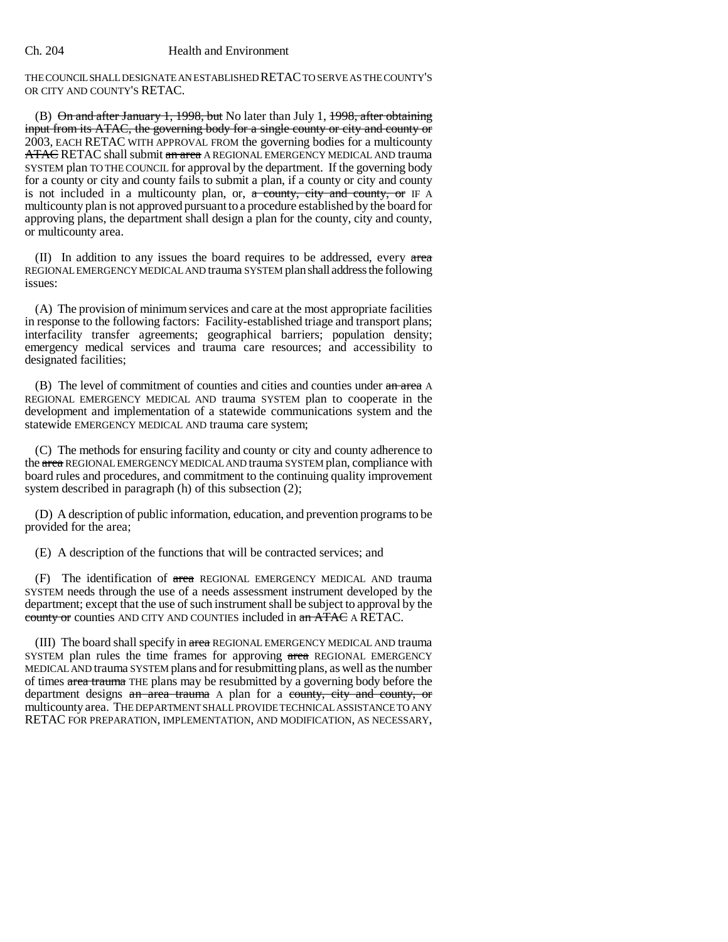THE COUNCIL SHALL DESIGNATE AN ESTABLISHED RETAC TO SERVE AS THE COUNTY'S OR CITY AND COUNTY'S RETAC.

(B) On and after January 1, 1998, but No later than July 1, 1998, after obtaining input from its ATAC, the governing body for a single county or city and county or 2003, EACH RETAC WITH APPROVAL FROM the governing bodies for a multicounty ATAC RETAC shall submit an area A REGIONAL EMERGENCY MEDICAL AND trauma SYSTEM plan TO THE COUNCIL for approval by the department. If the governing body for a county or city and county fails to submit a plan, if a county or city and county is not included in a multicounty plan, or,  $\alpha$  county, city and county, or IF A multicounty plan is not approved pursuant to a procedure established by the board for approving plans, the department shall design a plan for the county, city and county, or multicounty area.

 $(II)$  In addition to any issues the board requires to be addressed, every area REGIONAL EMERGENCY MEDICAL AND trauma SYSTEM plan shall address the following issues:

(A) The provision of minimum services and care at the most appropriate facilities in response to the following factors: Facility-established triage and transport plans; interfacility transfer agreements; geographical barriers; population density; emergency medical services and trauma care resources; and accessibility to designated facilities;

(B) The level of commitment of counties and cities and counties under an area A REGIONAL EMERGENCY MEDICAL AND trauma SYSTEM plan to cooperate in the development and implementation of a statewide communications system and the statewide EMERGENCY MEDICAL AND trauma care system;

(C) The methods for ensuring facility and county or city and county adherence to the area REGIONAL EMERGENCY MEDICAL AND trauma SYSTEM plan, compliance with board rules and procedures, and commitment to the continuing quality improvement system described in paragraph (h) of this subsection (2);

(D) A description of public information, education, and prevention programs to be provided for the area;

(E) A description of the functions that will be contracted services; and

(F) The identification of area REGIONAL EMERGENCY MEDICAL AND trauma SYSTEM needs through the use of a needs assessment instrument developed by the department; except that the use of such instrument shall be subject to approval by the county or counties AND CITY AND COUNTIES included in an ATAC A RETAC.

(III) The board shall specify in area REGIONAL EMERGENCY MEDICAL AND trauma SYSTEM plan rules the time frames for approving area REGIONAL EMERGENCY MEDICAL AND trauma SYSTEM plans and for resubmitting plans, as well as the number of times area trauma THE plans may be resubmitted by a governing body before the department designs an area trauma A plan for a county, city and county, or multicounty area. THE DEPARTMENT SHALL PROVIDE TECHNICAL ASSISTANCE TO ANY RETAC FOR PREPARATION, IMPLEMENTATION, AND MODIFICATION, AS NECESSARY,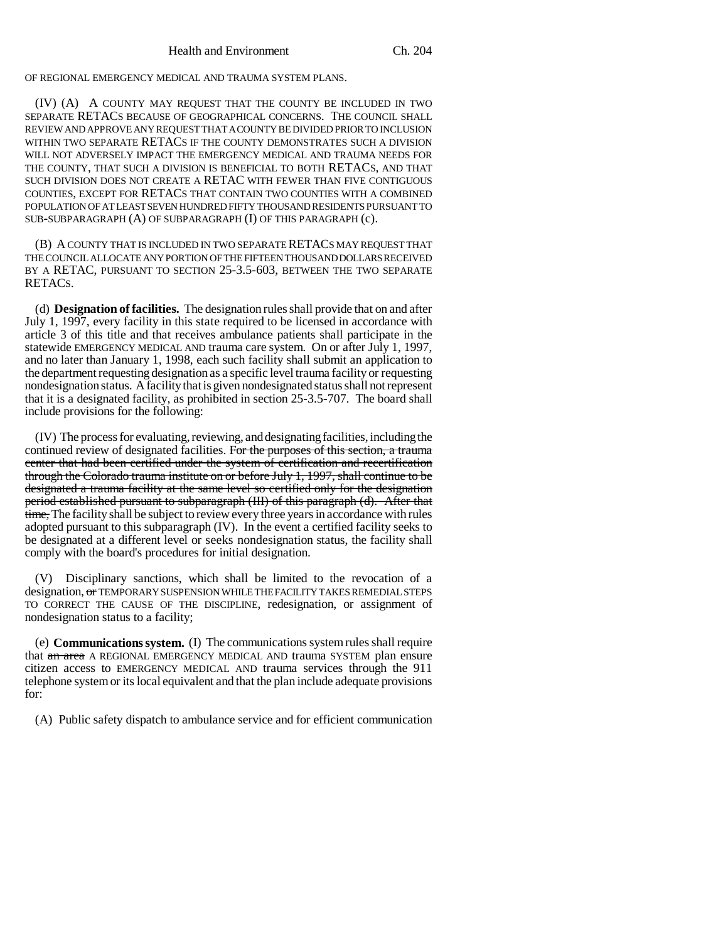OF REGIONAL EMERGENCY MEDICAL AND TRAUMA SYSTEM PLANS.

(IV) (A) A COUNTY MAY REQUEST THAT THE COUNTY BE INCLUDED IN TWO SEPARATE RETACS BECAUSE OF GEOGRAPHICAL CONCERNS. THE COUNCIL SHALL REVIEW AND APPROVE ANY REQUEST THAT A COUNTY BE DIVIDED PRIOR TO INCLUSION WITHIN TWO SEPARATE RETACS IF THE COUNTY DEMONSTRATES SUCH A DIVISION WILL NOT ADVERSELY IMPACT THE EMERGENCY MEDICAL AND TRAUMA NEEDS FOR THE COUNTY, THAT SUCH A DIVISION IS BENEFICIAL TO BOTH RETACS, AND THAT SUCH DIVISION DOES NOT CREATE A RETAC WITH FEWER THAN FIVE CONTIGUOUS COUNTIES, EXCEPT FOR RETACS THAT CONTAIN TWO COUNTIES WITH A COMBINED POPULATION OF AT LEAST SEVEN HUNDRED FIFTY THOUSAND RESIDENTS PURSUANT TO SUB-SUBPARAGRAPH (A) OF SUBPARAGRAPH (I) OF THIS PARAGRAPH (c).

(B) A COUNTY THAT IS INCLUDED IN TWO SEPARATE RETACS MAY REQUEST THAT THE COUNCIL ALLOCATE ANY PORTION OF THE FIFTEEN THOUSAND DOLLARS RECEIVED BY A RETAC, PURSUANT TO SECTION 25-3.5-603, BETWEEN THE TWO SEPARATE RETACS.

(d) **Designation of facilities.** The designation rules shall provide that on and after July 1, 1997, every facility in this state required to be licensed in accordance with article 3 of this title and that receives ambulance patients shall participate in the statewide EMERGENCY MEDICAL AND trauma care system. On or after July 1, 1997, and no later than January 1, 1998, each such facility shall submit an application to the department requesting designation as a specific level trauma facility or requesting nondesignation status. A facility that is given nondesignated status shall not represent that it is a designated facility, as prohibited in section 25-3.5-707. The board shall include provisions for the following:

(IV) The process for evaluating, reviewing, and designating facilities, including the continued review of designated facilities. For the purposes of this section, a trauma center that had been certified under the system of certification and recertification through the Colorado trauma institute on or before July 1, 1997, shall continue to be designated a trauma facility at the same level so certified only for the designation period established pursuant to subparagraph (III) of this paragraph (d). After that time, The facility shall be subject to review every three years in accordance with rules adopted pursuant to this subparagraph (IV). In the event a certified facility seeks to be designated at a different level or seeks nondesignation status, the facility shall comply with the board's procedures for initial designation.

(V) Disciplinary sanctions, which shall be limited to the revocation of a designation, or TEMPORARY SUSPENSION WHILE THE FACILITY TAKES REMEDIAL STEPS TO CORRECT THE CAUSE OF THE DISCIPLINE, redesignation, or assignment of nondesignation status to a facility;

(e) **Communications system.** (I) The communications system rules shall require that an area A REGIONAL EMERGENCY MEDICAL AND trauma SYSTEM plan ensure citizen access to EMERGENCY MEDICAL AND trauma services through the 911 telephone system or its local equivalent and that the plan include adequate provisions for:

(A) Public safety dispatch to ambulance service and for efficient communication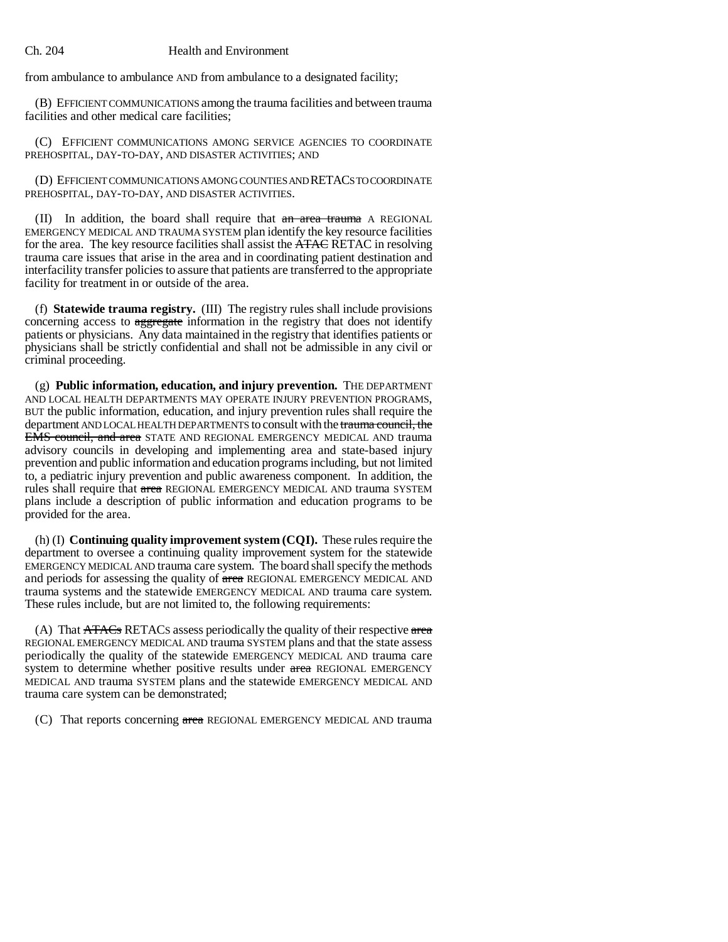from ambulance to ambulance AND from ambulance to a designated facility;

(B) EFFICIENT COMMUNICATIONS among the trauma facilities and between trauma facilities and other medical care facilities;

(C) EFFICIENT COMMUNICATIONS AMONG SERVICE AGENCIES TO COORDINATE PREHOSPITAL, DAY-TO-DAY, AND DISASTER ACTIVITIES; AND

(D) EFFICIENT COMMUNICATIONS AMONG COUNTIES AND RETACS TO COORDINATE PREHOSPITAL, DAY-TO-DAY, AND DISASTER ACTIVITIES.

(II) In addition, the board shall require that an area trauma A REGIONAL EMERGENCY MEDICAL AND TRAUMA SYSTEM plan identify the key resource facilities for the area. The key resource facilities shall assist the **ATAC** RETAC in resolving trauma care issues that arise in the area and in coordinating patient destination and interfacility transfer policies to assure that patients are transferred to the appropriate facility for treatment in or outside of the area.

(f) **Statewide trauma registry.** (III) The registry rules shall include provisions concerning access to aggregate information in the registry that does not identify patients or physicians. Any data maintained in the registry that identifies patients or physicians shall be strictly confidential and shall not be admissible in any civil or criminal proceeding.

(g) **Public information, education, and injury prevention.** THE DEPARTMENT AND LOCAL HEALTH DEPARTMENTS MAY OPERATE INJURY PREVENTION PROGRAMS, BUT the public information, education, and injury prevention rules shall require the department AND LOCAL HEALTH DEPARTMENTS to consult with the trauma council, the EMS council, and area STATE AND REGIONAL EMERGENCY MEDICAL AND trauma advisory councils in developing and implementing area and state-based injury prevention and public information and education programs including, but not limited to, a pediatric injury prevention and public awareness component. In addition, the rules shall require that area REGIONAL EMERGENCY MEDICAL AND trauma SYSTEM plans include a description of public information and education programs to be provided for the area.

(h) (I) **Continuing quality improvement system (CQI).** These rules require the department to oversee a continuing quality improvement system for the statewide EMERGENCY MEDICAL AND trauma care system. The board shall specify the methods and periods for assessing the quality of area REGIONAL EMERGENCY MEDICAL AND trauma systems and the statewide EMERGENCY MEDICAL AND trauma care system. These rules include, but are not limited to, the following requirements:

(A) That  $\overline{ATACS}$  RETACs assess periodically the quality of their respective area REGIONAL EMERGENCY MEDICAL AND trauma SYSTEM plans and that the state assess periodically the quality of the statewide EMERGENCY MEDICAL AND trauma care system to determine whether positive results under area REGIONAL EMERGENCY MEDICAL AND trauma SYSTEM plans and the statewide EMERGENCY MEDICAL AND trauma care system can be demonstrated;

(C) That reports concerning area REGIONAL EMERGENCY MEDICAL AND trauma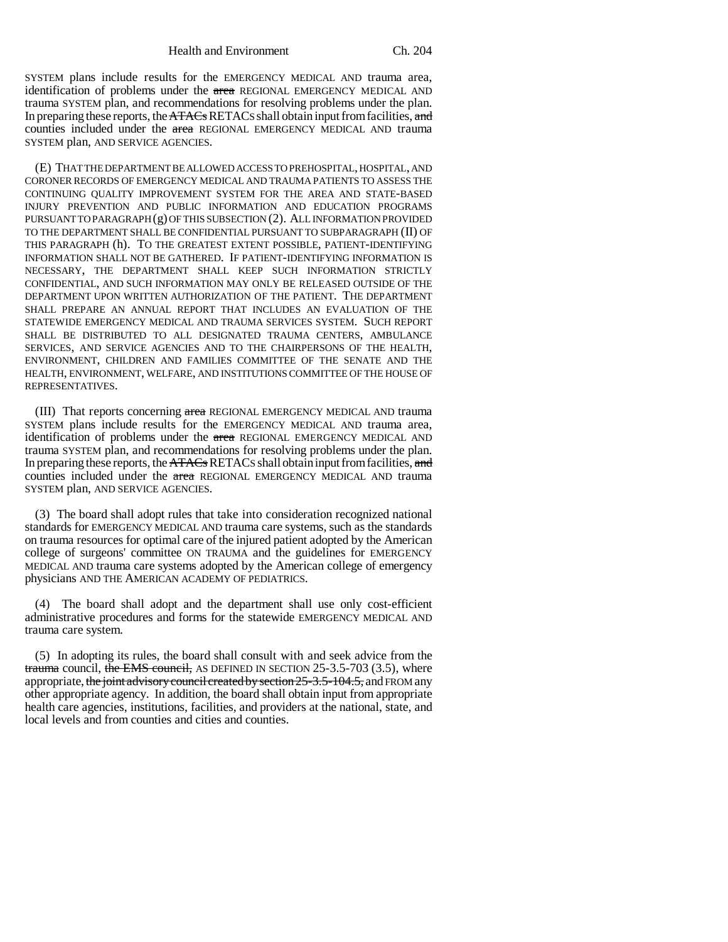SYSTEM plans include results for the EMERGENCY MEDICAL AND trauma area, identification of problems under the area REGIONAL EMERGENCY MEDICAL AND trauma SYSTEM plan, and recommendations for resolving problems under the plan. In preparing these reports, the ATACs RETACs shall obtain input from facilities, and counties included under the area REGIONAL EMERGENCY MEDICAL AND trauma SYSTEM plan, AND SERVICE AGENCIES.

(E) THAT THE DEPARTMENT BE ALLOWED ACCESS TO PREHOSPITAL, HOSPITAL, AND CORONER RECORDS OF EMERGENCY MEDICAL AND TRAUMA PATIENTS TO ASSESS THE CONTINUING QUALITY IMPROVEMENT SYSTEM FOR THE AREA AND STATE-BASED INJURY PREVENTION AND PUBLIC INFORMATION AND EDUCATION PROGRAMS PURSUANT TO PARAGRAPH (g) OF THIS SUBSECTION (2). ALL INFORMATION PROVIDED TO THE DEPARTMENT SHALL BE CONFIDENTIAL PURSUANT TO SUBPARAGRAPH (II) OF THIS PARAGRAPH (h). TO THE GREATEST EXTENT POSSIBLE, PATIENT-IDENTIFYING INFORMATION SHALL NOT BE GATHERED. IF PATIENT-IDENTIFYING INFORMATION IS NECESSARY, THE DEPARTMENT SHALL KEEP SUCH INFORMATION STRICTLY CONFIDENTIAL, AND SUCH INFORMATION MAY ONLY BE RELEASED OUTSIDE OF THE DEPARTMENT UPON WRITTEN AUTHORIZATION OF THE PATIENT. THE DEPARTMENT SHALL PREPARE AN ANNUAL REPORT THAT INCLUDES AN EVALUATION OF THE STATEWIDE EMERGENCY MEDICAL AND TRAUMA SERVICES SYSTEM. SUCH REPORT SHALL BE DISTRIBUTED TO ALL DESIGNATED TRAUMA CENTERS, AMBULANCE SERVICES, AND SERVICE AGENCIES AND TO THE CHAIRPERSONS OF THE HEALTH, ENVIRONMENT, CHILDREN AND FAMILIES COMMITTEE OF THE SENATE AND THE HEALTH, ENVIRONMENT, WELFARE, AND INSTITUTIONS COMMITTEE OF THE HOUSE OF REPRESENTATIVES.

(III) That reports concerning area REGIONAL EMERGENCY MEDICAL AND trauma SYSTEM plans include results for the EMERGENCY MEDICAL AND trauma area, identification of problems under the area REGIONAL EMERGENCY MEDICAL AND trauma SYSTEM plan, and recommendations for resolving problems under the plan. In preparing these reports, the ATACs RETACs shall obtain input from facilities, and counties included under the area REGIONAL EMERGENCY MEDICAL AND trauma SYSTEM plan, AND SERVICE AGENCIES.

(3) The board shall adopt rules that take into consideration recognized national standards for EMERGENCY MEDICAL AND trauma care systems, such as the standards on trauma resources for optimal care of the injured patient adopted by the American college of surgeons' committee ON TRAUMA and the guidelines for EMERGENCY MEDICAL AND trauma care systems adopted by the American college of emergency physicians AND THE AMERICAN ACADEMY OF PEDIATRICS.

(4) The board shall adopt and the department shall use only cost-efficient administrative procedures and forms for the statewide EMERGENCY MEDICAL AND trauma care system.

(5) In adopting its rules, the board shall consult with and seek advice from the trauma council, the EMS council, AS DEFINED IN SECTION  $25-3.5-703$  (3.5), where appropriate, the joint advisory council created by section 25-3.5-104.5, and FROM any other appropriate agency. In addition, the board shall obtain input from appropriate health care agencies, institutions, facilities, and providers at the national, state, and local levels and from counties and cities and counties.